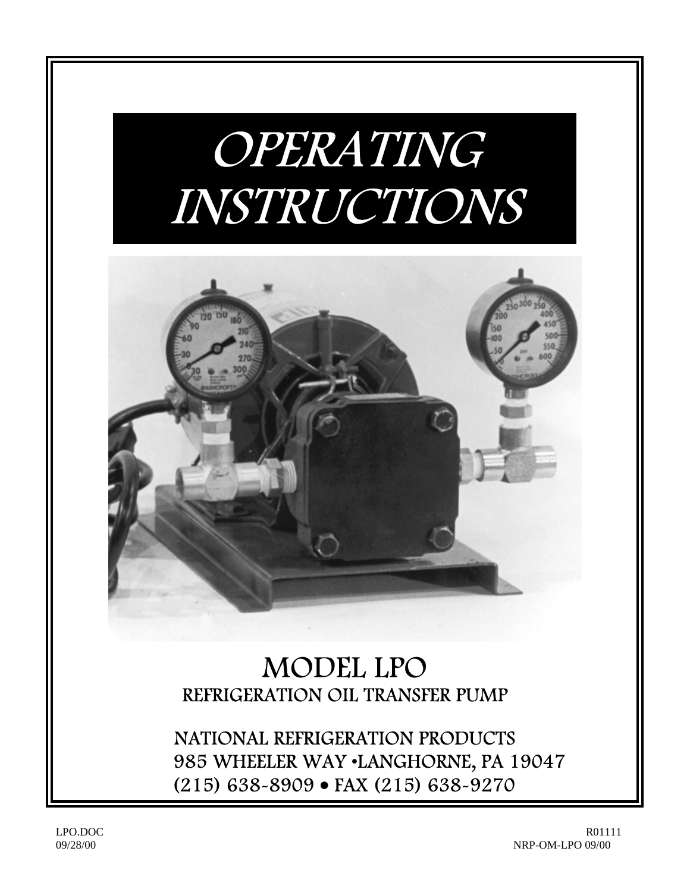# OPERATING INSTRUCTIONS



## MODEL LPO REFRIGERATION OIL TRANSFER PUMP

NATIONAL REFRIGERATION PRODUCTS 985 WHEELER WAY •LANGHORNE, PA 19047 (215) 638-8909 • FAX (215) 638-9270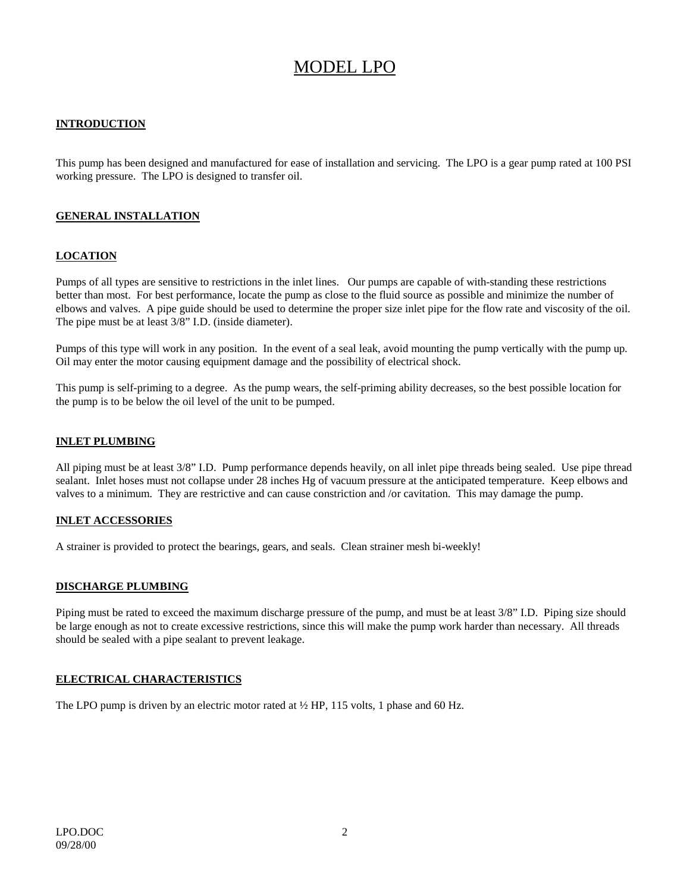### MODEL LPO

#### **INTRODUCTION**

This pump has been designed and manufactured for ease of installation and servicing. The LPO is a gear pump rated at 100 PSI working pressure. The LPO is designed to transfer oil.

#### **GENERAL INSTALLATION**

#### **LOCATION**

Pumps of all types are sensitive to restrictions in the inlet lines. Our pumps are capable of with-standing these restrictions better than most. For best performance, locate the pump as close to the fluid source as possible and minimize the number of elbows and valves. A pipe guide should be used to determine the proper size inlet pipe for the flow rate and viscosity of the oil. The pipe must be at least 3/8" I.D. (inside diameter).

Pumps of this type will work in any position. In the event of a seal leak, avoid mounting the pump vertically with the pump up. Oil may enter the motor causing equipment damage and the possibility of electrical shock.

This pump is self-priming to a degree. As the pump wears, the self-priming ability decreases, so the best possible location for the pump is to be below the oil level of the unit to be pumped.

#### **INLET PLUMBING**

All piping must be at least 3/8" I.D. Pump performance depends heavily, on all inlet pipe threads being sealed. Use pipe thread sealant. Inlet hoses must not collapse under 28 inches Hg of vacuum pressure at the anticipated temperature. Keep elbows and valves to a minimum. They are restrictive and can cause constriction and /or cavitation. This may damage the pump.

#### **INLET ACCESSORIES**

A strainer is provided to protect the bearings, gears, and seals. Clean strainer mesh bi-weekly!

#### **DISCHARGE PLUMBING**

Piping must be rated to exceed the maximum discharge pressure of the pump, and must be at least 3/8" I.D. Piping size should be large enough as not to create excessive restrictions, since this will make the pump work harder than necessary. All threads should be sealed with a pipe sealant to prevent leakage.

#### **ELECTRICAL CHARACTERISTICS**

The LPO pump is driven by an electric motor rated at  $\frac{1}{2}$  HP, 115 volts, 1 phase and 60 Hz.